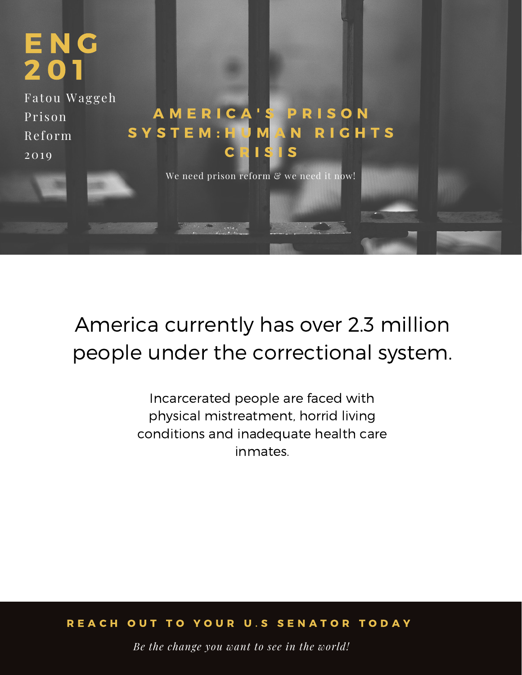

## America currently has over 2.3 million people under the correctional system.

Incarcerated people are faced with physical mistreatment, horrid living conditions and inadequate health care inmates.

#### REACH OUT TO YOUR U.S SENATOR TODAY

*Be the change you want to see in the world!*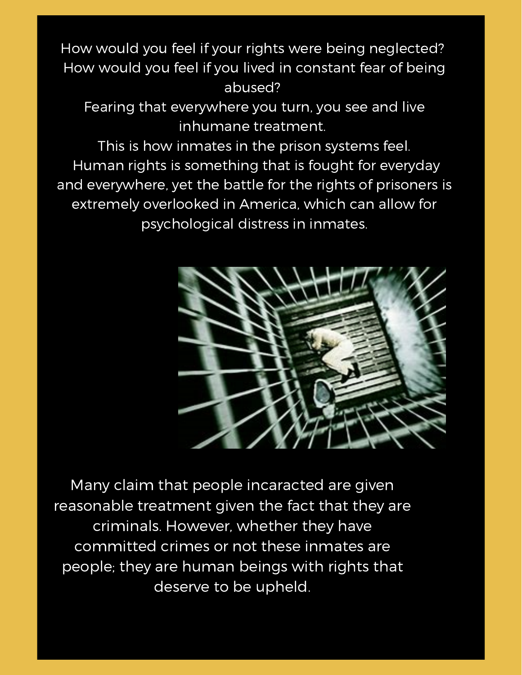How would you feel if your rights were being neglected? How would you feel if you lived in constant fear of being abused?

Fearing that everywhere you turn, you see and live inhumane treatment.

This is how inmates in the prison systems feel. Human rights is something that is fought for everyday and everywhere, yet the battle for the rights of prisoners is extremely overlooked in America, which can allow for psychological distress in inmates.



Many claim that people incaracted are given reasonable treatment given the fact that they are criminals. However, whether they have committed crimes or not these inmates are people; they are human beings with rights that deserve to be upheld.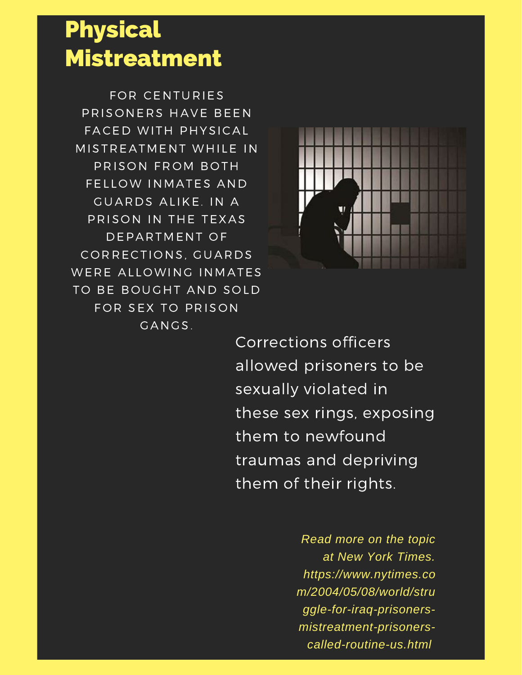## Physical Mistreatment

FOR CENTURIES PRISONERS HAVE BEEN FACED WITH PHYSICAL MISTREATMENT WHILE IN PRISON FROM BOTH FELLOW INMATES AND GUARDS ALIKE. IN A PRISON IN THE TEXAS DEPARTMENT OF CORRECTIONS, GUARDS WERE ALLOWING INMATES TO BE BOUGHT AND SOLD FOR SEX TO PRISON GANGS.



Corrections officers allowed prisoners to be sexually violated in these sex rings, exposing them to newfound traumas and depriving them of their rights.

> *Read more on the topic at New York Times. https://www.nytimes.co m/2004/05/08/world/stru ggle-for-iraq-prisonersmistreatment-prisonerscalled-routine-us.html*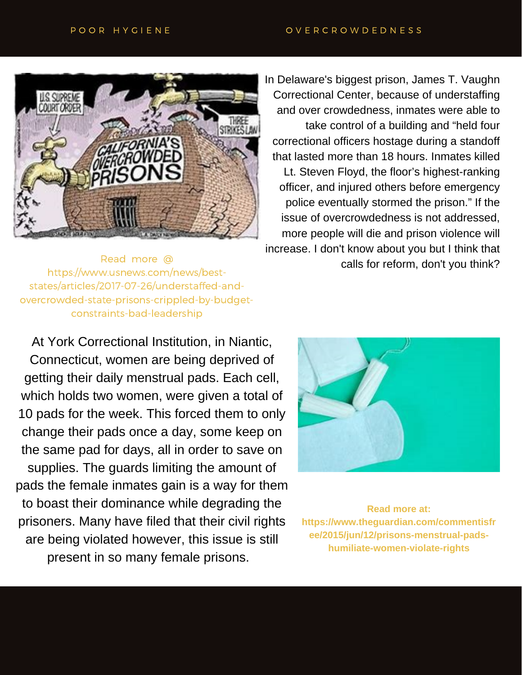

In Delaware's biggest prison, James T. Vaughn Correctional Center, because of understaffing and over crowdedness, inmates were able to take control of a building and "held four correctional officers hostage during a standoff that lasted more than 18 hours. Inmates killed Lt. Steven Floyd, the floor's highest-ranking officer, and injured others before emergency police eventually stormed the prison." If the issue of overcrowdedness is not addressed, more people will die and prison violence will increase. I don't know about you but I think that Read more @ each more and more and more and more and more and more calls for reform, don't you think?

https://www.usnews.com/news/beststates/articles/2017-07-26/understaffed-andovercrowded-state-prisons-crippled-by-budgetconstraints-bad-leadership

At York Correctional Institution, in Niantic, Connecticut, women are being deprived of getting their daily menstrual pads. Each cell, which holds two women, were given a total of 10 pads for the week. This forced them to only change their pads once a day, some keep on the same pad for days, all in order to save on supplies. The guards limiting the amount of pads the female inmates gain is a way for them to boast their dominance while degrading the prisoners. Many have filed that their civil rights are being violated however, this issue is still present in so many female prisons.



**Read more at: https://www.theguardian.com/commentisfr ee/2015/jun/12/prisons-menstrual-padshumiliate-women-violate-rights**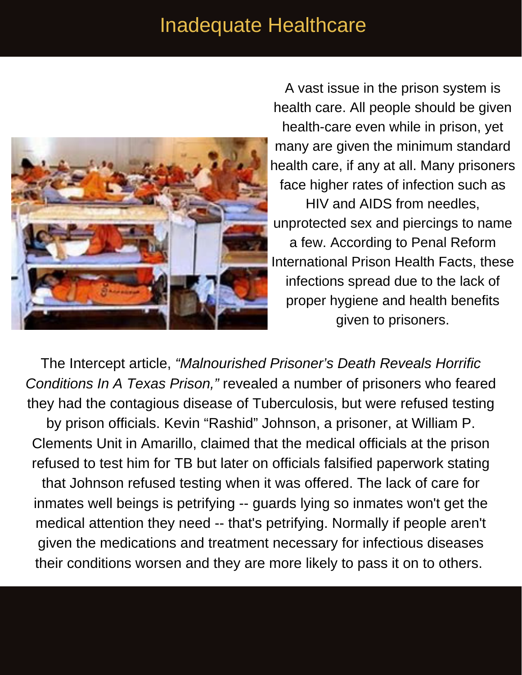#### Inadequate Healthcare



A vast issue in the prison system is health care. All people should be given health-care even while in prison, yet many are given the minimum standard health care, if any at all. Many prisoners face higher rates of infection such as HIV and AIDS from needles, unprotected sex and piercings to name a few. According to Penal Reform International Prison Health Facts, these infections spread due to the lack of proper hygiene and health benefits given to prisoners.

The Intercept article, *"Malnourished Prisoner's Death Reveals Horrific Conditions In A Texas Prison,"* revealed a number of prisoners who feared they had the contagious disease of Tuberculosis, but were refused testing

by prison officials. Kevin "Rashid" Johnson, a prisoner, at William P. Clements Unit in Amarillo, claimed that the medical officials at the prison refused to test him for TB but later on officials falsified paperwork stating that Johnson refused testing when it was offered. The lack of care for inmates well beings is petrifying -- guards lying so inmates won't get the medical attention they need -- that's petrifying. Normally if people aren't given the medications and treatment necessary for infectious diseases their conditions worsen and they are more likely to pass it on to others.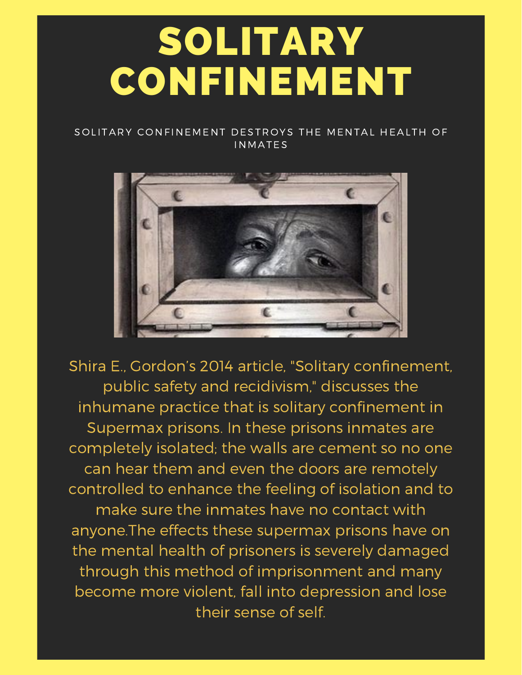# SOLITARY CONFINEMENT

#### SOLITARY CONFINEMENT DESTROYS THE MENTAL HEALTH OF **INMATES**



Shira E., Gordon's 2014 article, "Solitary confinement, public safety and recidivism," discusses the inhumane practice that is solitary confinement in Supermax prisons. In these prisons inmates are completely isolated; the walls are cement so no one can hear them and even the doors are remotely controlled to enhance the feeling of isolation and to make sure the inmates have no contact with anyone.The effects these supermax prisons have on the mental health of prisoners is severely damaged through this method of imprisonment and many become more violent, fall into depression and lose their sense of self.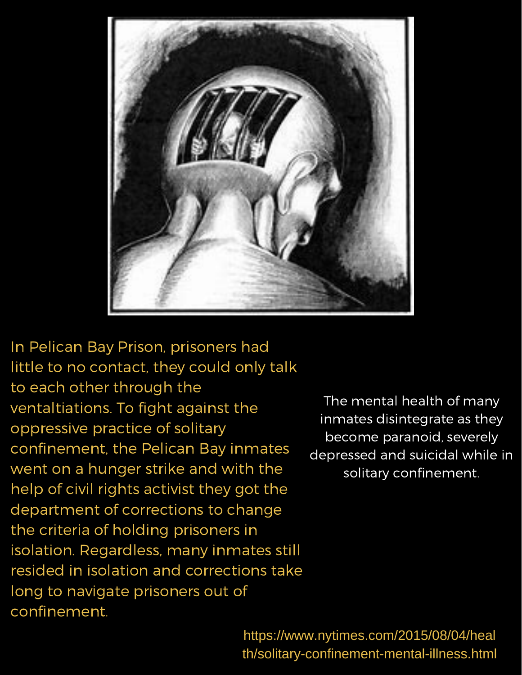

In Pelican Bay Prison, prisoners had little to no contact, they could only talk to each other through the ventaltiations. To fight against the oppressive practice of solitary confinement, the Pelican Bay inmates went on a hunger strike and with the help of civil rights activist they got the department of corrections to change the criteria of holding prisoners in isolation. Regardless, many inmates still resided in isolation and corrections take long to navigate prisoners out of confinement.

The mental health of many inmates disintegrate as they become paranoid, severely depressed and suicidal while in solitary confinement.

https://www.nytimes.com/2015/08/04/heal th/solitary-confinement-mental-illness.html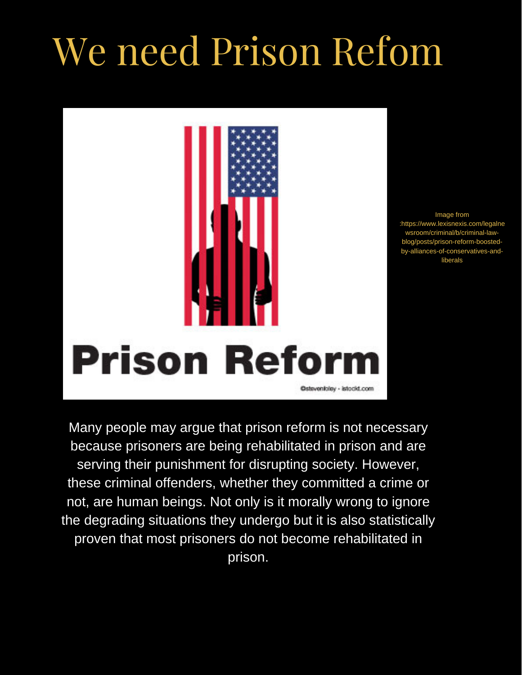# We need Prison Refom



Image from :https://www.lexisnexis.com/legalne wsroom/criminal/b/criminal-lawblog/posts/prison-reform-boostedby-alliances-of-conservatives-andliberals

Many people may argue that prison reform is not necessary because prisoners are being rehabilitated in prison and are serving their punishment for disrupting society. However, these criminal offenders, whether they committed a crime or not, are human beings. Not only is it morally wrong to ignore the degrading situations they undergo but it is also statistically proven that most prisoners do not become rehabilitated in prison.